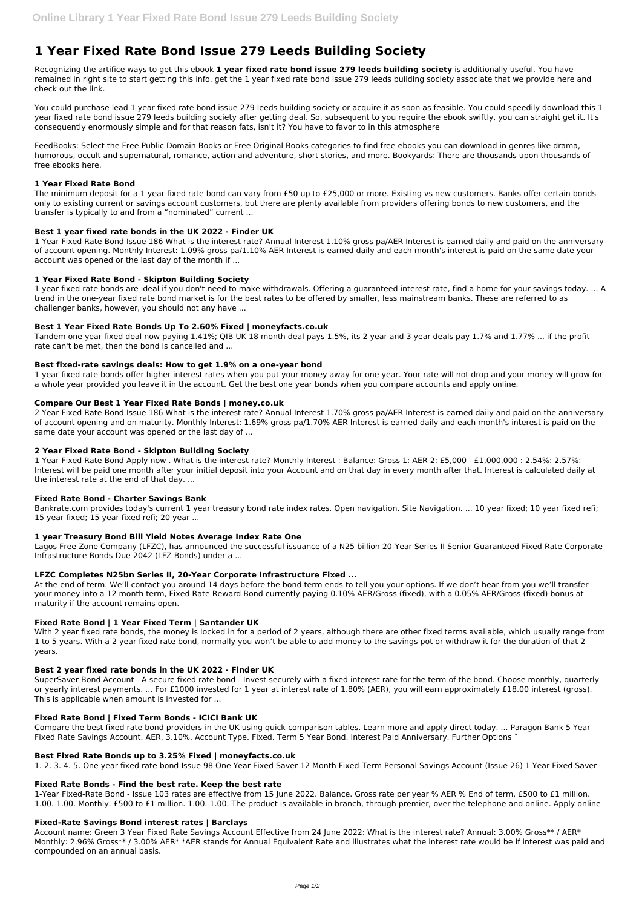# **1 Year Fixed Rate Bond Issue 279 Leeds Building Society**

Recognizing the artifice ways to get this ebook **1 year fixed rate bond issue 279 leeds building society** is additionally useful. You have remained in right site to start getting this info. get the 1 year fixed rate bond issue 279 leeds building society associate that we provide here and check out the link.

You could purchase lead 1 year fixed rate bond issue 279 leeds building society or acquire it as soon as feasible. You could speedily download this 1 year fixed rate bond issue 279 leeds building society after getting deal. So, subsequent to you require the ebook swiftly, you can straight get it. It's consequently enormously simple and for that reason fats, isn't it? You have to favor to in this atmosphere

FeedBooks: Select the Free Public Domain Books or Free Original Books categories to find free ebooks you can download in genres like drama, humorous, occult and supernatural, romance, action and adventure, short stories, and more. Bookyards: There are thousands upon thousands of free ebooks here.

## **1 Year Fixed Rate Bond**

The minimum deposit for a 1 year fixed rate bond can vary from £50 up to £25,000 or more. Existing vs new customers. Banks offer certain bonds only to existing current or savings account customers, but there are plenty available from providers offering bonds to new customers, and the transfer is typically to and from a "nominated" current ...

## **Best 1 year fixed rate bonds in the UK 2022 - Finder UK**

1 Year Fixed Rate Bond Issue 186 What is the interest rate? Annual Interest 1.10% gross pa/AER Interest is earned daily and paid on the anniversary of account opening. Monthly Interest: 1.09% gross pa/1.10% AER Interest is earned daily and each month's interest is paid on the same date your account was opened or the last day of the month if ...

## **1 Year Fixed Rate Bond - Skipton Building Society**

Bankrate.com provides today's current 1 year treasury bond rate index rates. Open navigation. Site Navigation. ... 10 year fixed; 10 year fixed refi; 15 year fixed; 15 year fixed refi; 20 year ...

1 year fixed rate bonds are ideal if you don't need to make withdrawals. Offering a guaranteed interest rate, find a home for your savings today. ... A trend in the one-year fixed rate bond market is for the best rates to be offered by smaller, less mainstream banks. These are referred to as challenger banks, however, you should not any have ...

## **Best 1 Year Fixed Rate Bonds Up To 2.60% Fixed | moneyfacts.co.uk**

Tandem one year fixed deal now paying 1.41%; QIB UK 18 month deal pays 1.5%, its 2 year and 3 year deals pay 1.7% and 1.77% ... if the profit rate can't be met, then the bond is cancelled and ...

With 2 year fixed rate bonds, the money is locked in for a period of 2 years, although there are other fixed terms available, which usually range from 1 to 5 years. With a 2 year fixed rate bond, normally you won't be able to add money to the savings pot or withdraw it for the duration of that 2 years.

#### **Best fixed-rate savings deals: How to get 1.9% on a one-year bond**

Compare the best fixed rate bond providers in the UK using quick-comparison tables. Learn more and apply direct today. ... Paragon Bank 5 Year Fixed Rate Savings Account. AER. 3.10%. Account Type. Fixed. Term 5 Year Bond. Interest Paid Anniversary. Further Options ×

1 year fixed rate bonds offer higher interest rates when you put your money away for one year. Your rate will not drop and your money will grow for a whole year provided you leave it in the account. Get the best one year bonds when you compare accounts and apply online.

#### **Compare Our Best 1 Year Fixed Rate Bonds | money.co.uk**

2 Year Fixed Rate Bond Issue 186 What is the interest rate? Annual Interest 1.70% gross pa/AER Interest is earned daily and paid on the anniversary of account opening and on maturity. Monthly Interest: 1.69% gross pa/1.70% AER Interest is earned daily and each month's interest is paid on the same date your account was opened or the last day of ...

Account name: Green 3 Year Fixed Rate Savings Account Effective from 24 June 2022: What is the interest rate? Annual: 3.00% Gross\*\* / AER\* Monthly: 2.96% Gross\*\* / 3.00% AER\* \*AER stands for Annual Equivalent Rate and illustrates what the interest rate would be if interest was paid and compounded on an annual basis.

# **2 Year Fixed Rate Bond - Skipton Building Society**

1 Year Fixed Rate Bond Apply now . What is the interest rate? Monthly Interest : Balance: Gross 1: AER 2: £5,000 - £1,000,000 : 2.54%: 2.57%: Interest will be paid one month after your initial deposit into your Account and on that day in every month after that. Interest is calculated daily at the interest rate at the end of that day. ...

#### **Fixed Rate Bond - Charter Savings Bank**

#### **1 year Treasury Bond Bill Yield Notes Average Index Rate One**

Lagos Free Zone Company (LFZC), has announced the successful issuance of a N25 billion 20-Year Series II Senior Guaranteed Fixed Rate Corporate Infrastructure Bonds Due 2042 (LFZ Bonds) under a ...

#### **LFZC Completes N25bn Series II, 20-Year Corporate Infrastructure Fixed ...**

At the end of term. We'll contact you around 14 days before the bond term ends to tell you your options. If we don't hear from you we'll transfer your money into a 12 month term, Fixed Rate Reward Bond currently paying 0.10% AER/Gross (fixed), with a 0.05% AER/Gross (fixed) bonus at maturity if the account remains open.

# **Fixed Rate Bond | 1 Year Fixed Term | Santander UK**

#### **Best 2 year fixed rate bonds in the UK 2022 - Finder UK**

SuperSaver Bond Account - A secure fixed rate bond - Invest securely with a fixed interest rate for the term of the bond. Choose monthly, quarterly

or yearly interest payments. ... For £1000 invested for 1 year at interest rate of 1.80% (AER), you will earn approximately £18.00 interest (gross). This is applicable when amount is invested for ...

#### **Fixed Rate Bond | Fixed Term Bonds - ICICI Bank UK**

#### **Best Fixed Rate Bonds up to 3.25% Fixed | moneyfacts.co.uk**

1. 2. 3. 4. 5. One year fixed rate bond Issue 98 One Year Fixed Saver 12 Month Fixed-Term Personal Savings Account (Issue 26) 1 Year Fixed Saver

#### **Fixed Rate Bonds - Find the best rate. Keep the best rate**

1-Year Fixed-Rate Bond - Issue 103 rates are effective from 15 June 2022. Balance. Gross rate per year % AER % End of term. £500 to £1 million. 1.00. 1.00. Monthly. £500 to £1 million. 1.00. 1.00. The product is available in branch, through premier, over the telephone and online. Apply online

#### **Fixed-Rate Savings Bond interest rates | Barclays**